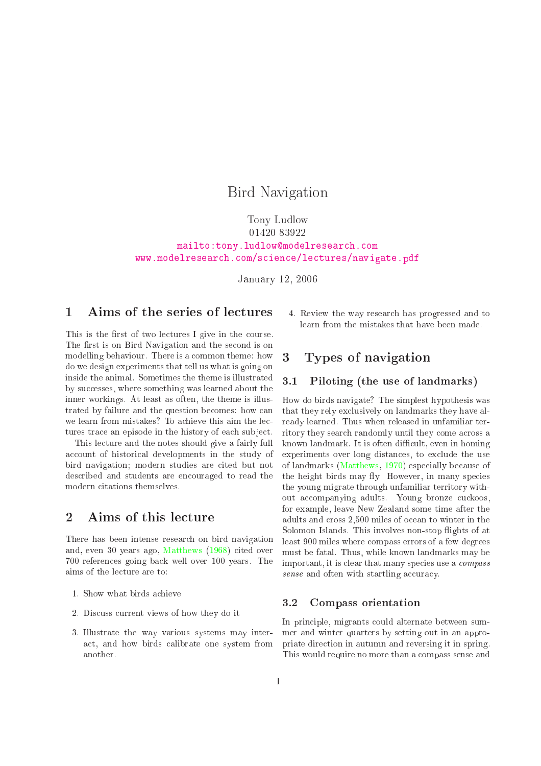# Bird Navigation

# Tony Ludlow <sup>01420</sup> <sup>83922</sup> [mailto:tony.ludlowmodelresear
h.
om](mailto:tony.ludlow@modelresearch.com) [www.modelresear
h.
om/s
ien
e/le
tures/navigate.pdf](www.modelresearch.com/science/lectures/navigate.pdf)

January 12, <sup>2006</sup>

# 1 Aims of the series of le
tures

This is the first of two lectures I give in the course. The first is on Bird Navigation and the second is on modelling behaviour. There is a ommon theme: how do we design experiments that tell us what is going on inside the animal. Sometimes the theme is illustrated by successes, where something was learned about the inner workings. At least as often, the theme is illustrated by failure and the question be
omes: how an we learn from mistakes? To achieve this aim the lectures trace an episode in the history of each subject.

This lecture and the notes should give a fairly full account of historical developments in the study of bird navigation; modern studies are cited but not described and students are encouraged to read the

# 2 Aims of this lecture

There has been intense resear
h on bird navigation and, even <sup>30</sup> years ago, [Matthews](#page-7-0) [\(1968](#page-7-0)) ited over <sup>700</sup> referen
es going ba
k well over 100 years. The aims of the le
ture are to:

- 1. Show what birds a
hieve
- 2. Dis
uss urrent views of how they do it
- 3. Illustrate the way various systems may intera
t, and how birds alibrate one system from

4. Review the way resear
h has progressed and to learn from the mistakes that have been made.

#### Types of navigation  $\boldsymbol{3}$

#### Piloting (the use of landmarks)  $3.1$

How do birds navigate? The simplest hypothesis was that they rely ex
lusively on landmarks they have already learned. Thus when released in unfamiliar territory they search randomly until they come across a known landmark. It is often difficult, even in homing experiments over long distan
es, to ex
lude the use of landmarks [\(Matthews](#page-7-1), [1970\)](#page-7-1) espe
ially be
ause of the height birds may fly. However, in many species the young migrate through unfamiliar territory without accompanying adults. Young bronze cuckoos, for example, leave New Zealand some time after the adults and ross 2,500 miles of o
ean to winter in the Solomon Islands. This involves non-stop flights of at least 900 miles where ompass errors of a few degrees must be fatal. Thus, while known landmarks may be important, it is clear that many species use a *compass* sense and often with startling accuracy.

#### $3.2$ 3.2 Compass orientation

In principle, migrants could alternate between summer and winter quarters by setting out in an appropriate dire
tion in autumn and reversing it in spring. This would require no more than a ompass sense and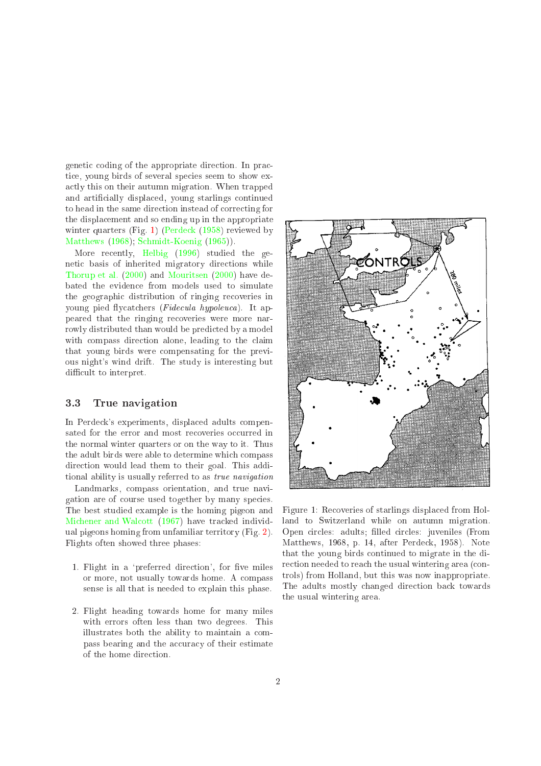genetic coding of the appropriate direction. In practice, young birds of several species seem to show exa
tly this on their autumn migration. When trapped and artificially displaced, young starlings continued to head in the same direction instead of correcting for the displa
ement and so ending up in the appropriate winter quarters (Fig. [1\)](#page-1-0) (Perdeck [\(1958\)](#page-8-0) reviewed by [Matthews](#page-7-0) [\(1968](#page-7-0)); [S
hmidt-Koenig](#page-8-1) [\(1965\)](#page-8-1)).

More recently, [Helbig](#page-7-2) [\(1996](#page-7-2)) studied the geneti basis of inherited migratory dire
tions while [Thorup](#page-8-2) et al. [\(2000\)](#page-8-2) and [Mouritsen](#page-7-3) [\(2000\)](#page-7-3) have debated the eviden
e from models used to simulate the geographic distribution of ringing recoveries in young pied flycatchers (Fidecula hypoleuca). It appeared that the ringing re
overies were more narrowly distributed than would be predicted by a model with compass direction alone, leading to the claim that young birds were ompensating for the previous night's wind drift. The study is interesting but difficult to interpret.

## 3.3 True navigation

In Perde
k's experiments, displa
ed adults ompensated for the error and most recoveries occurred in the normal winter quarters or on the way to it. Thus the adult birds were able to determine whi
h ompass dire
tion would lead them to their goal. This additional ability is usually referred to as true navigation

Landmarks, ompass orientation, and true navigation are of ourse used together by many spe
ies. The best studied example is the homing pigeon and Michener and Walcott [\(1967\)](#page-7-4) have tracked individual pigeons homing from unfamiliar territory (Fig. [2\)](#page-2-0). Flights often showed three phases:

- <span id="page-1-0"></span>1. Flight in a 'preferred direction', for five miles or more, not usually towards home. A ompass sense is all that is needed to explain this phase.
- 2. Flight heading towards home for many miles with errors often less than two degrees. This illustrates both the ability to maintain a ompass bearing and the accuracy of their estimate of the home dire
tion.



Figure 1: Re
overies of starlings displa
ed from Holland to Switzerland while on autumn migration. Open circles: adults; filled circles: juveniles (From Matthews, 1968, p. 14, after Perde
k, 1958). Note that the young birds ontinued to migrate in the direction needed to reach the usual wintering area (controls) from Holland, but this was now inappropriate. The adults mostly hanged dire
tion ba
k towards the usual wintering area.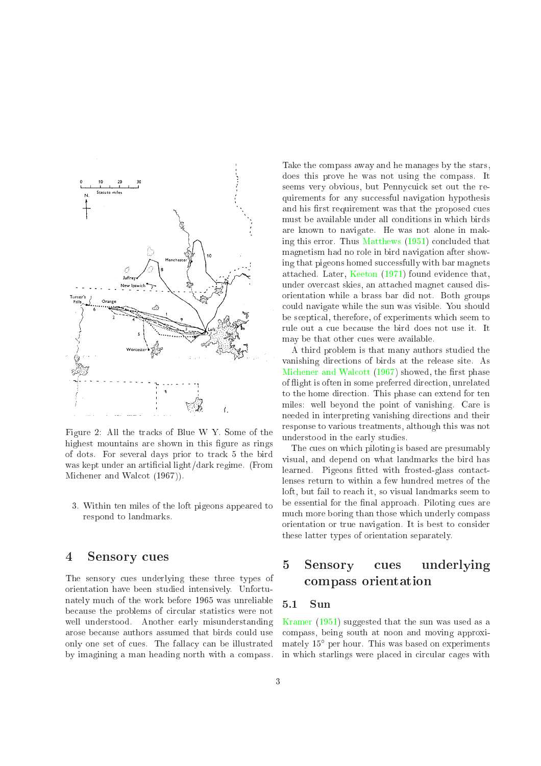

<span id="page-2-0"></span>Figure 2: All the tracks of Blue W Y. Some of the highest mountains are shown in this figure as rings of dots. For several days prior to tra
k 5 the bird was kept under an artificial light/dark regime. (From Mi
hener and Wal
ot (1967)).

3. Within ten miles of the loft pigeons appeared to respond to landmarks.

# <sup>4</sup> Sensory ues

The sensory cues underlying these three types of orientation have been studied intensively. Unfortunately mu
h of the work before 1965 was unreliable be
ause the problems of ir
ular statisti
s were not well understood. Another early misunderstanding arose be
ause authors assumed that birds ould use only one set of cues. The fallacy can be illustrated by imagining a man heading north with a ompass. Take the ompass away and he manages by the stars, does this prove he was not using the ompass. It seems very obvious, but Pennycuick set out the requirements for any successful navigation hypothesis and his first requirement was that the proposed cues must be available under all onditions in whi
h birds are known to navigate. He was not alone in mak-ing this error. Thus [Matthews](#page-7-5) [\(1951](#page-7-5)) concluded that magnetism had no role in bird navigation after showing that pigeons homed successfully with bar magnets atta
hed. Later, [Keeton](#page-7-6) [\(1971\)](#page-7-6) found eviden
e that, under over
ast skies, an atta
hed magnet aused disorientation while a brass bar did not. Both groups ould navigate while the sun was visible. You should be s
epti
al, therefore, of experiments whi
h seem to rule out a cue because the bird does not use it. It may be that other cues were available.

A third problem is that many authors studied the vanishing dire
tions of birds at the release site. As Michener and Walcott [\(1967](#page-7-4)) showed, the first phase of ight is often in some preferred dire
tion, unrelated to the home direction. This phase can extend for ten miles: well beyond the point of vanishing. Care is needed in interpreting vanishing dire
tions and their response to various treatments, although this was not understood in the early studies.

The cues on which piloting is based are presumably visual, and depend on what landmarks the bird has learned. Pigeons fitted with frosted-glass contactlenses return to within a few hundred metres of the loft, but fail to reach it, so visual landmarks seem to be essential for the final approach. Piloting cues are mu
h more boring than those whi
h underly ompass orientation or true navigation. It is best to onsider these latter types of orientation separately.

## $\overline{5}$ Sensory cues underlying ompass orientation

#### $5.1$ 5.1 Sun

[Kramer](#page-7-7) [\(1951](#page-7-7)) suggested that the sun was used as a ompass, being south at noon and moving approximately 15 per hour. This was based on experiments in which starlings were placed in circular cages with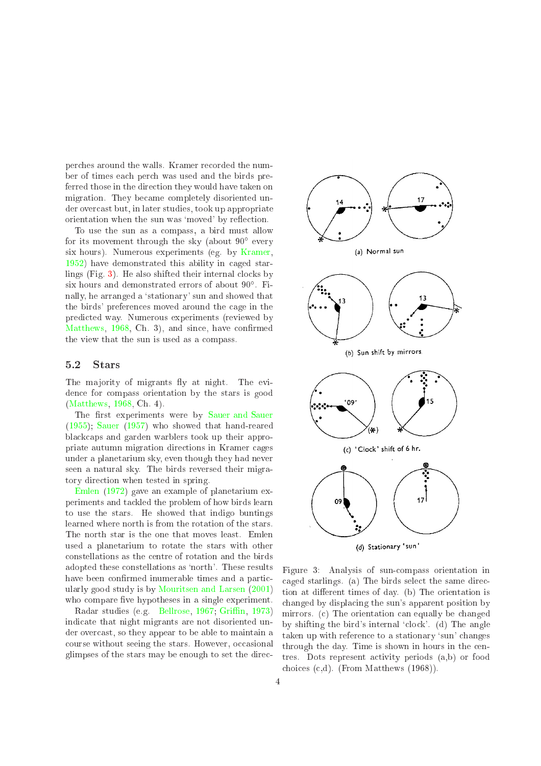per
hes around the walls. Kramer re
orded the number of times ea
h per
h was used and the birds preferred those in the direction they would have taken on migration. They be
ame ompletely disoriented under over
ast but, in later studies, took up appropriate orientation when the sun was 'moved' by reflection.

To use the sun as a ompass, a bird must allow for its movement through the sky (about 90 every six hours). Numerous experiments (eg. by [Kramer,](#page-7-8) [1952\)](#page-7-8) have demonstrated this ability in aged starlings  $(Fig. 3)$  $(Fig. 3)$ . He also shifted their internal clocks by six hours and demonstrated errors of about 90 . Finally, he arranged a 'stationary' sun and showed that the birds' preferen
es moved around the age in the predi
ted way. Numerous experiments (reviewed by [Matthews,](#page-7-0) [1968,](#page-7-0) Ch. 3), and since, have confirmed the view that the sun is used as a ompass.

The majority of migrants fly at night. The eviden
e for ompass orientation by the stars is good [\(Matthews,](#page-7-0) [1968,](#page-7-0) Ch. 4).

The first experiments were by [Sauer](#page-8-3) and Sauer [\(1955\)](#page-8-3); [Sauer](#page-8-4) [\(1957\)](#page-8-4) who showed that hand-reared bla
k
aps and garden warblers took up their appropriate autumn migration dire
tions in Kramer ages under a planetarium sky, even though they had never seen a natural sky. The birds reversed their migratory direction when tested in spring.

[Emlen](#page-7-9) [\(1972](#page-7-9)) gave an example of planetarium experiments and ta
kled the problem of how birds learn to use the stars. He showed that indigo buntings learned where north is from the rotation of the stars. The north star is the one that moves least. Emlen used a planetarium to rotate the stars with other onstellations as the entre of rotation and the birds adopted these constellations as 'north'. These results have been confirmed inumerable times and a particularly good study is by [Mouritsen](#page-8-5) and Larsen [\(2001\)](#page-8-5) who compare five hypotheses in a single experiment.

Radar studies (e.g. [Bellrose,](#page-7-10) [1967;](#page-7-10) Griffin, [1973\)](#page-7-11) indi
ate that night migrants are not disoriented under over
ast, so they appear to be able to maintain a course without seeing the stars. However, occasional glimpses of the stars may be enough to set the dire
-



(d) Stationary 'sun'

<span id="page-3-0"></span>Figure 3: Analysis of sunompass orientation in aged starlings. (a) The birds sele
t the same dire
 tion at different times of day. (b) The orientation is hanged by displa
ing the sun's apparent position by mirrors. (c) The orientation can equally be changed by shifting the bird's internal 'clock'. (d) The angle taken up with reference to a stationary 'sun' changes through the day. Time is shown in hours in the entres. Dots represent a
tivity periods (a,b) or food choices  $(c,d)$ . (From Matthews  $(1968)$ ).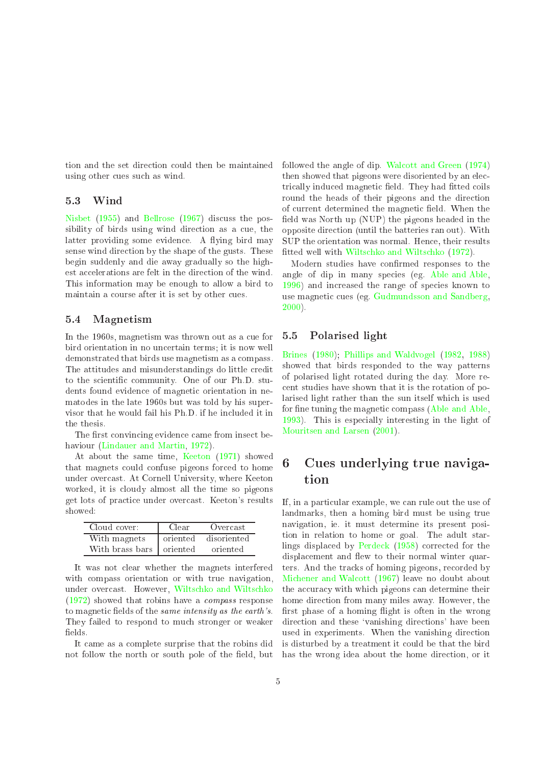tion and the set dire
tion ould then be maintained using other cues such as wind.

## 5.3 Wind

[Nisbet](#page-8-6) [\(1955\)](#page-8-6) and [Bellrose](#page-7-10) [\(1967\)](#page-7-10) discuss the possibility of birds using wind direction as a cue, the latter providing some evidence. A flying bird may sense wind dire
tion by the shape of the gusts. These begin suddenly and die away gradually so the highest accelerations are felt in the direction of the wind. This information may be enough to allow a bird to maintain a ourse after it is set by other ues.

## 5.4 Magnetism

In the 1960s, magnetism was thrown out as a cue for bird orientation in no un
ertain terms; it is now well demonstrated that birds use magnetism as a ompass. The attitudes and misunderstandings do little credit to the scientific community. One of our Ph.D. students found eviden
e of magneti orientation in nematodes in the late 1960s but was told by his supervisor that he would fail his Ph.D. if he in
luded it in the thesis.

The first convincing evidence came from insect behaviour [\(Lindauer](#page-7-12) and Martin, [1972\)](#page-7-12).

At about the same time, [Keeton](#page-7-6) [\(1971\)](#page-7-6) showed that magnets ould onfuse pigeons for
ed to home under over
ast. At Cornell University, where Keeton worked, it is cloudy almost all the time so pigeons get lots of pra
ti
e under over
ast. Keeton's results showed:

| Cloud cover:               | Clear | Overcast             |
|----------------------------|-------|----------------------|
| With magnets               |       | oriented disoriented |
| With brass bars   oriented |       | oriented             |

It was not lear whether the magnets interfered with compass orientation or with true navigation, under over
ast. However, [Wilts
hko](#page-9-0) and Wilts
hko [\(1972\)](#page-9-0) showed that robins have a ompass response to magnetic fields of the same intensity as the earth's. They failed to respond to mu
h stronger or weaker fields.

It ame as a omplete surprise that the robins did not follow the north or south pole of the field, but followed the angle of dip. Walcott and Green [\(1974\)](#page-8-7) then showed that pigeons were disoriented by an ele
 trically induced magnetic field. They had fitted coils round the heads of their pigeons and the dire
tion of current determined the magnetic field. When the field was North up (NUP) the pigeons headed in the opposite dire
tion (until the batteries ran out). With SUP the orientation was normal. Hence, their results fitted well with Wiltschko and Wiltschko [\(1972](#page-9-0)).

Modern studies have confirmed responses to the angle of dip in many species (eg. [Able](#page-7-13) and Able, [1996\)](#page-7-13) and increased the range of species known to use magnetic cues (eg. [Gudmundsson](#page-7-14) and Sandberg, [2000\)](#page-7-14).

## 5.5 Polarised light

[Brines](#page-7-15) [\(1980\)](#page-7-15); Phillips and [Waldvogel](#page-8-8) [\(1982,](#page-8-8) [1988\)](#page-8-9) showed that birds responded to the way patterns of polarised light rotated during the day. More re ent studies have shown that it is the rotation of polarised light rather than the sun itself whi
h is used for fine tuning the magnetic compass [\(Able](#page-7-16) and Able, [1993\)](#page-7-16). This is espe
ially interesting in the light of [Mouritsen](#page-8-5) and Larsen [\(2001\)](#page-8-5).

# <sup>6</sup> Cues underlying true navigation

If, in a particular example, we can rule out the use of landmarks, then a homing bird must be using true navigation, ie. it must determine its present position in relation to home or goal. The adult star-lings displaced by Perdeck [\(1958\)](#page-8-0) corrected for the displacement and flew to their normal winter quarters. And the tracks of homing pigeons, recorded by [Mi
hener](#page-7-4) and Wal
ott [\(1967\)](#page-7-4) leave no doubt about the accuracy with which pigeons can determine their home dire
tion from many miles away. However, the first phase of a homing flight is often in the wrong direction and these 'vanishing directions' have been used in experiments. When the vanishing dire
tion is disturbed by a treatment it ould be that the bird has the wrong idea about the home direction, or it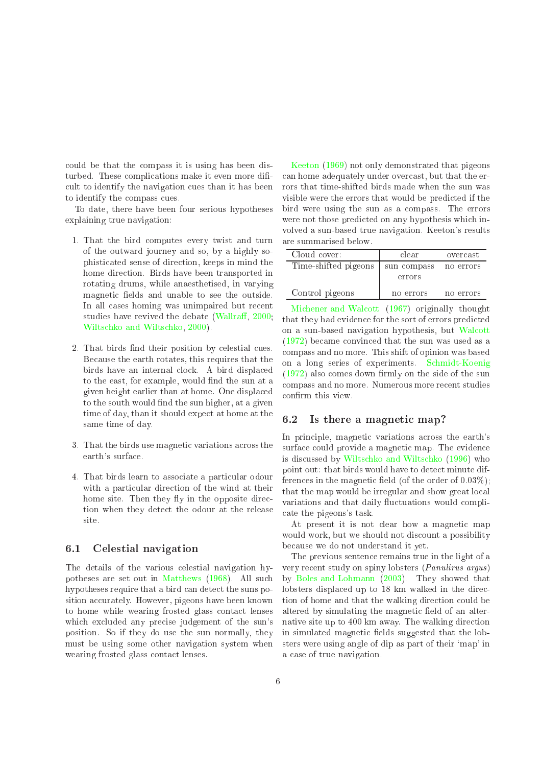could be that the compass it is using has been disturbed. These complications make it even more dificult to identify the navigation cues than it has been to identify the ompass ues.

To date, there have been four serious hypotheses explaining true navigation:

- 1. That the bird omputes every twist and turn of the outward journey and so, by a highly sophisti
ated sense of dire
tion, keeps in mind the home dire
tion. Birds have been transported in rotating drums, while anaesthetised, in varying magnetic fields and unable to see the outside. In all cases homing was unimpaired but recent studies have revived the debate (Wallraff, [2000;](#page-8-10) [Wilts
hko](#page-8-11) and Wilts
hko, [2000](#page-8-11)).
- 2. That birds find their position by celestial cues. Be
ause the earth rotates, this requires that the birds have an internal clock. A bird displaced to the east, for example, would find the sun at a given height earlier than at home. One displa
ed to the south would find the sun higher, at a given time of day, than it should expe
t at home at the same time of day.
- 3. That the birds use magnetic variations across the earth's surfa
e.
- 4. That birds learn to asso
iate a parti
ular odour with a particular direction of the wind at their home site. Then they fly in the opposite direction when they dete
t the odour at the release site.

## 6.1 Celestial navigation

The details of the various elestial navigation hypotheses are set out in [Matthews](#page-7-0) [\(1968\)](#page-7-0). All su
h hypotheses require that a bird can detect the suns position accurately. However, pigeons have been known to home while wearing frosted glass contact lenses which excluded any precise judgement of the sun's position. So if they do use the sun normally, they must be using some other navigation system when wearing frosted glass onta
t lenses.

[Keeton](#page-7-17) [\(1969](#page-7-17)) not only demonstrated that pigeons an home adequately under over
ast, but that the errors that time-shifted birds made when the sun was visible were the errors that would be predicted if the bird were using the sun as a ompass. The errors were not those predicted on any hypothesis which involved a sun-based true navigation. Keeton's results

| Cloud cover:         | clear       | overcast  |
|----------------------|-------------|-----------|
| Time-shifted pigeons | sun compass | no errors |
|                      | errors      |           |
| Control pigeons      | no errors   | no errors |

Michener and Walcott [\(1967\)](#page-7-4) originally thought that they had evidence for the sort of errors predicted on a sun-based navigation hypothesis, but [Wal
ott](#page-8-12) [\(1972\)](#page-8-12) be
ame onvin
ed that the sun was used as a ompass and no more. This shift of opinion was based on <sup>a</sup> long series of experiments. [S
hmidt-Koenig](#page-8-13)  $(1972)$  also comes down firmly on the side of the sun ompass and no more. Numerous more re
ent studies confirm this view.

#### Is there a magnetic map? 6.2

In principle, magnetic variations across the earth's surface could provide a magnetic map. The evidence is discussed by Wiltschko and Wiltschko [\(1996](#page-9-1)) who point out: that birds would have to dete
t minute differences in the magnetic field (of the order of  $0.03\%$ ); that the map would be irregular and show great local variations and that daily fluctuations would compliate the pigeons's task.

At present it is not clear how a magnetic map would work, but we should not discount a possibility be
ause we do not understand it yet.

The previous senten
e remains true in the light of a very re
ent study on spiny lobsters (Panulirus argus) by Boles and [Lohmann](#page-7-18) [\(2003\)](#page-7-18). They showed that lobsters displaced up to 18 km walked in the direction of home and that the walking dire
tion ould be altered by simulating the magnetic field of an alternative site up to 400 km away. The walking dire
tion in simulated magnetic fields suggested that the lobsters were using angle of dip as part of their `map' in a ase of true navigation.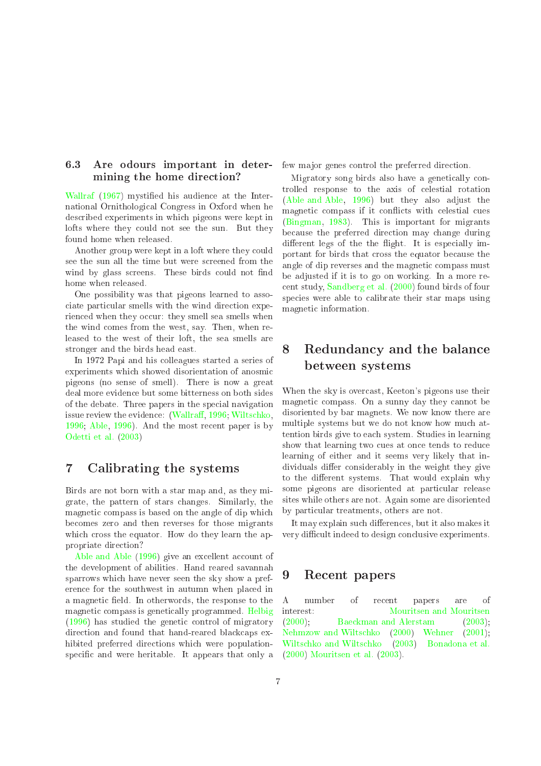#### $6.3$ Are odours important in determining the home direction?

[Wallraf](#page-8-14) [\(1967\)](#page-8-14) mystied his audien
e at the International Ornithologi
al Congress in Oxford when he des
ribed experiments in whi
h pigeons were kept in lofts where they could not see the sun. But they found home when released.

Another group were kept in a loft where they could see the sun all the time but were s
reened from the wind by glass screens. These birds could not find home when released.

One possibility was that pigeons learned to asso ciate particular smells with the wind direction experienced when they occur: they smell sea smells when the wind omes from the west, say. Then, when released to the west of their loft, the sea smells are stronger and the birds head east.

In 1972 Papi and his olleagues started a series of experiments whi
h showed disorientation of anosmi pigeons (no sense of smell). There is now a great deal more eviden
e but some bitterness on both sides of the debate. Three papers in the spe
ial navigation issue review the evidence: [\(Wallra](#page-8-15)ff, [1996;](#page-8-15) Wiltschko, [1996;](#page-8-16) [Able,](#page-7-19) [1996\)](#page-7-19). And the most re
ent paper is by [Odetti](#page-8-17) et al. [\(2003\)](#page-8-17)

#### $\overline{7}$ Calibrating the systems

Birds are not born with a star map and, as they migrate, the pattern of stars hanges. Similarly, the magnetic compass is based on the angle of dip which be
omes zero and then reverses for those migrants which cross the equator. How do they learn the appropriate direction?

[Able](#page-7-13) and Able [\(1996\)](#page-7-13) give an excellent account of the development of abilities. Hand reared savannah sparrows whi
h have never seen the sky show a preferen
e for the southwest in autumn when pla
ed in a magnetic field. In otherwords, the response to the magnetic compass is genetically programmed. [Helbig](#page-7-2)  $(1996)$  has studied the genetic control of migratory direction and found that hand-reared blackcaps exhibited preferred directions which were populationspecific and were heritable. It appears that only a few major genes control the preferred direction.

Migratory song birds also have a geneti
ally ontrolled response to the axis of elestial rotation [\(Able](#page-7-13) and Able, [1996\)](#page-7-13) but they also adjust the magnetic compass if it conflicts with celestial cues [\(Bingman,](#page-7-20) [1983\)](#page-7-20). This is important for migrants be
ause the preferred dire
tion may hange during different legs of the the flight. It is especially important for birds that cross the equator because the angle of dip reverses and the magnetic compass must be adjusted if it is to go on working. In a more re ent study, [Sandberg](#page-8-18) et al. [\(2000\)](#page-8-18) found birds of four species were able to calibrate their star maps using magneti information.

### 8 Redundancy and the balance between systems

When the sky is overcast, Keeton's pigeons use their magnetic compass. On a sunny day they cannot be disoriented by bar magnets. We now know there are multiple systems but we do not know how mu
h attention birds give to ea
h system. Studies in learning show that learning two cues at once tends to reduce learning of either and it seems very likely that individuals differ considerably in the weight they give to the different systems. That would explain why some pigeons are disoriented at particular release sites while others are not. Again some are disoriented by parti
ular treatments, others are not.

It may explain such differences, but it also makes it very difficult indeed to design conclusive experiments.

# 9 Re
ent papers

 $\overline{A}$ papers  $\circ$ f A number of re
ent papers are of interest: [Mouritsen](#page-8-19) and Mouritsen [\(2000\)](#page-8-19); Baeckman and Alerstam  $(2003)$ : Nehmzow and [Wilts
hko](#page-8-20) [\(2000](#page-8-20)) [Wehner](#page-8-21) [\(2001\)](#page-8-21); [Wilts
hko](#page-9-2) and Wilts
hko [\(2003\)](#page-9-2) [Bonadona](#page-7-22) et al. [\(2000\)](#page-7-22) [Mouritsen](#page-8-22) et al. [\(2003](#page-8-22)).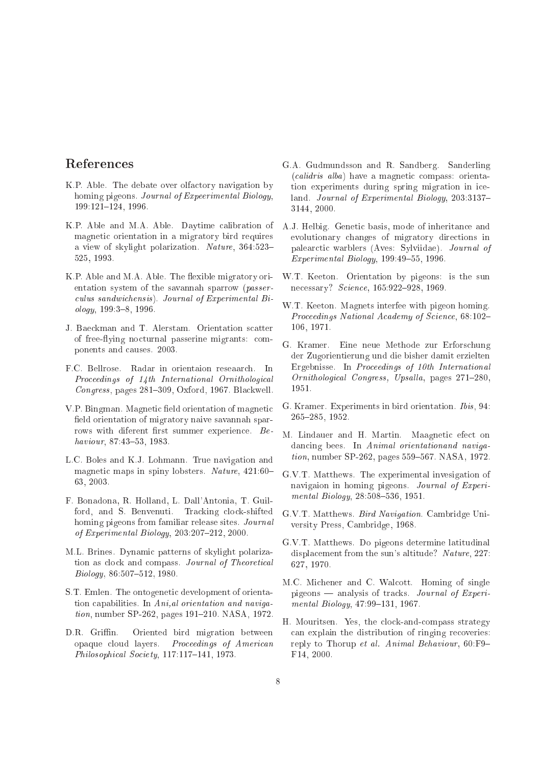# References

- <span id="page-7-19"></span>K.P. Able. The debate over olfactory navigation by homing pigeons. Journal of Experimental Biology,  $199:121 - 124, 1996.$
- <span id="page-7-16"></span>K.P. Able and M.A. Able. Daytime calibration of magnetic orientation in a migratory bird requires a view of skylight polarization. Nature, 364:523-525, 1993.
- <span id="page-7-13"></span>K.P. Able and M.A. Able. The flexible migratory orientation system of the savannah sparrow (passerculus sandwichensis). Journal of Experimental Biology, 199:3-8, 1996.
- <span id="page-7-21"></span>J. Baeckman and T. Alerstam. Orientation scatter of free-flying nocturnal passerine migrants: components and causes. 2003.
- <span id="page-7-10"></span>F.C. Bellrose. Radar in orientaion reseaarch. In Proceedings of 14th International Ornithological Congress, pages 281-309, Oxford, 1967. Blackwell.
- <span id="page-7-20"></span>V.P. Bingman. Magnetic field orientation of magnetic field orientation of migratory naive savannah sparrows with diferent first summer experience. Behaviour, 87:43-53, 1983.
- <span id="page-7-18"></span>L.C. Boles and K.J. Lohmann. True navigation and magnetic maps in spiny lobsters. Nature, 421:60-63, 2003.
- <span id="page-7-22"></span>F. Bonadona, R. Holland, L. Dall'Antonia, T. Guilford, and S. Benvenuti. Tracking clock-shifted homing pigeons from familiar release sites. Journal of Experimental Biology,  $203:207-212$ ,  $2000$ .
- <span id="page-7-15"></span>M.L. Brines. Dynamic patterns of skylight polarization as clock and compass. Journal of Theoretical Biology, 86:507-512, 1980.
- <span id="page-7-9"></span>S.T. Emlen. The ontogenetic development of orientation capabilities. In Ani, al orientation and navigation, number SP-262, pages 191-210. NASA, 1972.
- <span id="page-7-11"></span>D.R. Griffin. Oriented bird migration between opaque cloud layers. Proceedings of American Philosophical Society, 117:117-141, 1973.
- <span id="page-7-14"></span>G.A. Gudmundsson and R. Sandberg. Sanderling *(calidris alba)* have a magnetic compass: orientation experiments during spring migration in iceland. *Journal of Experimental Biology*, 203:3137-3144, 2000.
- <span id="page-7-2"></span>A.J. Helbig. Genetic basis, mode of inheritance and evolutionary changes of migratory directions in palearctic warblers (Aves: Sylviidae). Journal of Experimental Biology, 199:49-55, 1996.
- <span id="page-7-17"></span>W.T. Keeton. Orientation by pigeons: is the sun necessary? Science, 165:922-928, 1969.
- <span id="page-7-6"></span>W.T. Keeton. Magnets interfee with pigeon homing. Proceedings National Academy of Science, 68:102-106, 1971.
- <span id="page-7-7"></span>G. Kramer. Eine neue Methode zur Erforschung der Zugorientierung und die bisher damit erzielten Ergebnisse. In Proceedings of 10th International Ornithological Congress, Upsalla, pages 271-280, 1951.
- <span id="page-7-8"></span>G. Kramer. Experiments in bird orientation. *Ibis*, 94:  $265 - 285, 1952.$
- <span id="page-7-12"></span>M. Lindauer and H. Martin. Maagnetic efect on dancing bees. In Animal orientation and naviga*tion*, number SP-262, pages 559-567. NASA, 1972.
- <span id="page-7-5"></span>G.V.T. Matthews. The experimental invesigation of navigaion in homing pigeons. Journal of Experimental Biology, 28:508-536, 1951.
- <span id="page-7-0"></span>G.V.T. Matthews. Bird Navigation. Cambridge University Press, Cambridge, 1968.
- <span id="page-7-1"></span>G.V.T. Matthews. Do pigeons determine latitudinal displacement from the sun's altitude? Nature, 227: 627, 1970.
- <span id="page-7-4"></span>M.C. Michener and C. Walcott. Homing of single pigeons — analysis of tracks. Journal of Experimental Biology, 47:99-131, 1967.
- <span id="page-7-3"></span>H. Mouritsen. Yes, the clock-and-compass strategy can explain the distribution of ringing recoveries: reply to Thorup et al. Animal Behaviour, 60:F9-F14, 2000.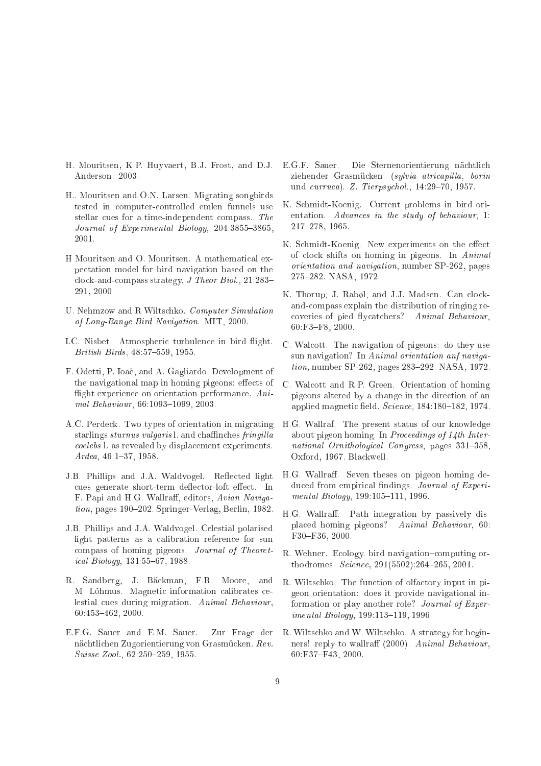- <span id="page-8-22"></span>H. Mouritsen, K.P. Huvvaert, B.J. Frost, and D.J. E.G.F. Sauer. Anderson. 2003.
- <span id="page-8-5"></span>H., Mouritsen and O.N. Larsen. Migrating songbirds tested in computer-controlled emlen funnels use stellar cues for a time-independent compass. The Journal of Experimental Biology, 204:3855-3865, 2001.
- <span id="page-8-19"></span>H Mouritsen and O. Mouritsen. A mathematical expectation model for bird navigation based on the clock-and-compass strategy. J Theor Biol.,  $21:283-$ 291, 2000.
- <span id="page-8-20"></span>U. Nehmzow and R Wiltschko. Computer Simulation of Long-Range Bird Navigation. MIT, 2000.
- <span id="page-8-6"></span>I.C. Nisbet. Atmospheric turbulence in bird flight. British Birds, 48:57-559, 1955.
- <span id="page-8-17"></span>F. Odetti, P. Ioaè, and A. Gagliardo. Development of the navigational map in homing pigeons: effects of flight experience on orientation performance. Animal Behaviour, 66:1093-1099, 2003.
- <span id="page-8-0"></span>A.C. Perdeck. Two types of orientation in migrating starlings sturnus vulgaris l. and chaffinches fringilla coelebs l. as revealed by displacement experiments.  $Ardea, 46:1-37, 1958.$
- <span id="page-8-8"></span>J.B. Phillips and J.A. Waldvogel. Reflected light cues generate short-term deflector-loft effect. In F. Papi and H.G. Wallraff, editors, Avian Navigation, pages 190–202. Springer-Verlag, Berlin, 1982.
- <span id="page-8-9"></span>J.B. Phillips and J.A. Waldvogel. Celestial polarised light patterns as a calibration reference for sun compass of homing pigeons. Journal of Theoretical Biology, 131:55-67, 1988.
- <span id="page-8-18"></span>R. Sandberg, J. Bäckman, F.R. Moore, and M. Lõhmus. Magnetic information calibrates celestial cues during migration. Animal Behaviour,  $60:453 - 462.2000.$
- <span id="page-8-3"></span>E.F.G. Sauer and E.M. Sauer. Zur Frage der nächtlichen Zugorientierung von Grasmücken. Rev. Suisse Zool., 62:250-259, 1955.
- <span id="page-8-4"></span>Die Sternenorientierung nächtlich ziehender Grasmücken. (sylvia atricapilla, borin und curruca). Z. Tierpsuchol., 14:29-70, 1957.
- <span id="page-8-1"></span>K. Schmidt-Koenig. Current problems in bird orientation. Advances in the study of behaviour, 1: 217-278, 1965.
- <span id="page-8-13"></span>K. Schmidt-Koenig. New experiments on the effect of clock shifts on homing in pigeons. In Animal *orientation and navigation*, number SP-262, pages 275-282. NASA, 1972.
- <span id="page-8-2"></span>K. Thorup, J. Rabøl, and J.J. Madsen. Can clockand-compass explain the distribution of ringing recoveries of pied flycatchers? Animal Behaviour, 60:F3-F8, 2000.
- <span id="page-8-12"></span>C. Walcott. The navigation of pigeons: do they use sun navigation? In Animal orientation anf navigation, number SP-262, pages 283-292. NASA, 1972.
- <span id="page-8-7"></span>C. Walcott and R.P. Green. Orientation of homing pigeons altered by a change in the direction of an applied magnetic field. Science, 184:180-182, 1974.
- <span id="page-8-14"></span>H.G. Wallraf. The present status of our knowledge about pigeon homing. In Proceedings of 14th International Ornithological Congress, pages 331-358. Oxford, 1967. Blackwell.
- <span id="page-8-15"></span>H.G. Wallraff. Seven theses on pigeon homing deduced from empirical findings. Journal of Experimental Biology, 199:105-111, 1996.
- <span id="page-8-10"></span>H.G. Wallraff. Path integration by passively displaced homing pigeons? Animal Behaviour, 60: F30-F36, 2000.
- <span id="page-8-21"></span>R. Wehner. Ecology, bird navigation-computing orthodromes. Science, 291(5502):264-265, 2001.
- <span id="page-8-16"></span>R. Wiltschko. The function of olfactory input in pigeon orientation: does it provide navigational information or play another role? *Journal of Experimental Biology*, 199:113-119, 1996.
- <span id="page-8-11"></span>R. Wiltschko and W. Wiltschko. A strategy for beginners! reply to wallraff (2000). Animal Behaviour, 60:F37-F43, 2000.